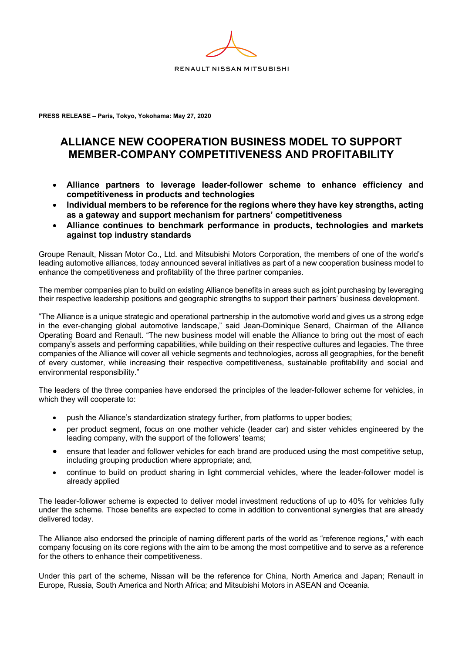

**PRESS RELEASE – Paris, Tokyo, Yokohama: May 27, 2020**

## **ALLIANCE NEW COOPERATION BUSINESS MODEL TO SUPPORT MEMBER-COMPANY COMPETITIVENESS AND PROFITABILITY**

- **Alliance partners to leverage leader-follower scheme to enhance efficiency and competitiveness in products and technologies**
- **Individual members to be reference for the regions where they have key strengths, acting as a gateway and support mechanism for partners' competitiveness**
- **Alliance continues to benchmark performance in products, technologies and markets against top industry standards**

Groupe Renault, Nissan Motor Co., Ltd. and Mitsubishi Motors Corporation, the members of one of the world's leading automotive alliances, today announced several initiatives as part of a new cooperation business model to enhance the competitiveness and profitability of the three partner companies.

The member companies plan to build on existing Alliance benefits in areas such as joint purchasing by leveraging their respective leadership positions and geographic strengths to support their partners' business development.

"The Alliance is a unique strategic and operational partnership in the automotive world and gives us a strong edge in the ever-changing global automotive landscape," said Jean-Dominique Senard, Chairman of the Alliance Operating Board and Renault. "The new business model will enable the Alliance to bring out the most of each company's assets and performing capabilities, while building on their respective cultures and legacies. The three companies of the Alliance will cover all vehicle segments and technologies, across all geographies, for the benefit of every customer, while increasing their respective competitiveness, sustainable profitability and social and environmental responsibility."

The leaders of the three companies have endorsed the principles of the leader-follower scheme for vehicles, in which they will cooperate to:

- push the Alliance's standardization strategy further, from platforms to upper bodies;
- per product segment, focus on one mother vehicle (leader car) and sister vehicles engineered by the leading company, with the support of the followers' teams;
- ensure that leader and follower vehicles for each brand are produced using the most competitive setup, including grouping production where appropriate; and,
- continue to build on product sharing in light commercial vehicles, where the leader-follower model is already applied

The leader-follower scheme is expected to deliver model investment reductions of up to 40% for vehicles fully under the scheme. Those benefits are expected to come in addition to conventional synergies that are already delivered today.

The Alliance also endorsed the principle of naming different parts of the world as "reference regions," with each company focusing on its core regions with the aim to be among the most competitive and to serve as a reference for the others to enhance their competitiveness.

Under this part of the scheme, Nissan will be the reference for China, North America and Japan; Renault in Europe, Russia, South America and North Africa; and Mitsubishi Motors in ASEAN and Oceania.